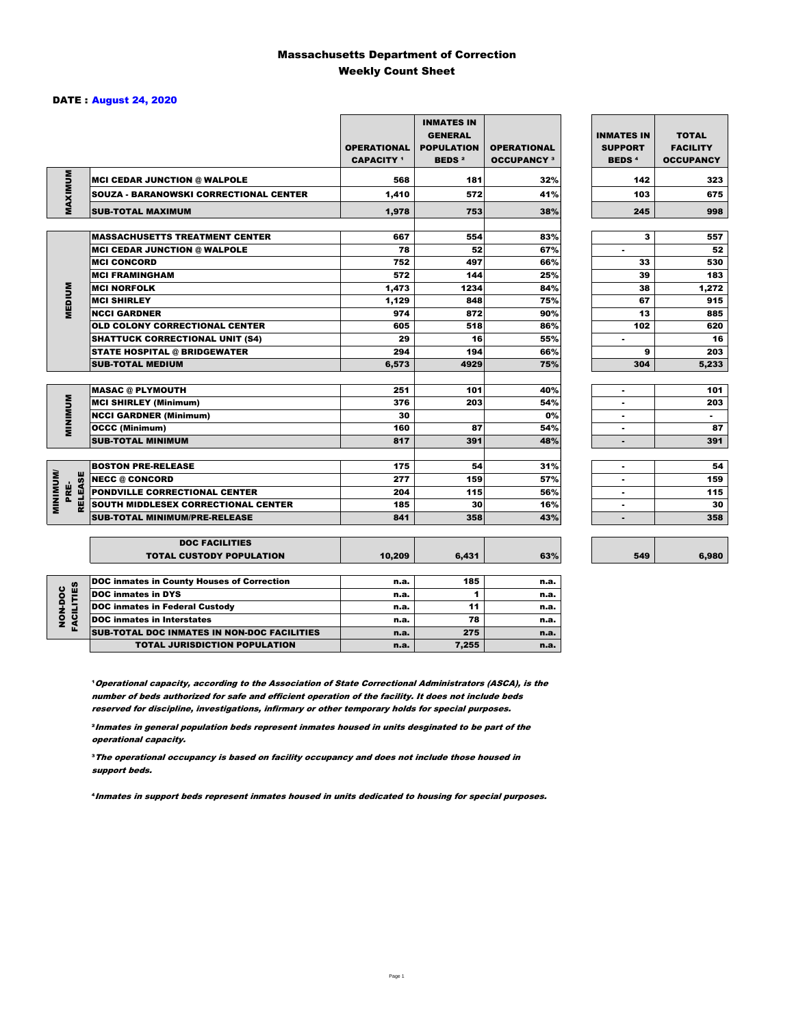### Massachusetts Department of Correction Weekly Count Sheet

### DATE : August 24, 2020

|                                   |                                                          | <b>OPERATIONAL</b><br><b>CAPACITY</b> 1 | <b>INMATES IN</b><br><b>GENERAL</b><br><b>POPULATION</b><br><b>BEDS<sup>2</sup></b> | <b>OPERATIONAL</b><br><b>OCCUPANCY 3</b> | <b>INMATES IN</b><br><b>SUPPORT</b><br><b>BEDS<sup>4</sup></b> | <b>TOTAL</b><br><b>FACILITY</b><br><b>OCCUPANCY</b> |
|-----------------------------------|----------------------------------------------------------|-----------------------------------------|-------------------------------------------------------------------------------------|------------------------------------------|----------------------------------------------------------------|-----------------------------------------------------|
| MAXIMUM                           | <b>MCI CEDAR JUNCTION @ WALPOLE</b>                      | 568                                     | 181                                                                                 | 32%                                      | 142                                                            | 323                                                 |
|                                   | <b>SOUZA - BARANOWSKI CORRECTIONAL CENTER</b>            | 1,410                                   | 572                                                                                 | 41%                                      | 103                                                            | 675                                                 |
|                                   | <b>SUB-TOTAL MAXIMUM</b>                                 | 1,978                                   | 753                                                                                 | 38%                                      | 245                                                            | 998                                                 |
|                                   |                                                          |                                         |                                                                                     |                                          |                                                                |                                                     |
|                                   | <b>MASSACHUSETTS TREATMENT CENTER</b>                    | 667                                     | 554                                                                                 | 83%                                      | 3                                                              | 557                                                 |
|                                   | <b>MCI CEDAR JUNCTION @ WALPOLE</b>                      | 78                                      | 52                                                                                  | 67%                                      | $\blacksquare$                                                 | 52                                                  |
|                                   | <b>MCI CONCORD</b>                                       | 752                                     | 497                                                                                 | 66%                                      | 33                                                             | 530                                                 |
|                                   | <b>MCI FRAMINGHAM</b>                                    | 572                                     | 144                                                                                 | 25%                                      | 39                                                             | 183                                                 |
|                                   | <b>MCI NORFOLK</b>                                       | 1,473                                   | 1234                                                                                | 84%                                      | 38                                                             | 1,272                                               |
| <b>MEDIUM</b>                     | <b>MCI SHIRLEY</b>                                       | 1,129                                   | 848                                                                                 | 75%                                      | 67                                                             | 915                                                 |
|                                   | <b>NCCI GARDNER</b>                                      | 974                                     | 872                                                                                 | 90%                                      | 13                                                             | 885                                                 |
|                                   | <b>OLD COLONY CORRECTIONAL CENTER</b>                    | 605                                     | 518                                                                                 | 86%                                      | 102                                                            | 620                                                 |
|                                   | <b>SHATTUCK CORRECTIONAL UNIT (S4)</b>                   | 29                                      | 16                                                                                  | 55%                                      | ٠                                                              | 16                                                  |
|                                   | <b>STATE HOSPITAL @ BRIDGEWATER</b>                      | 294                                     | 194                                                                                 | 66%                                      | 9                                                              | 203                                                 |
|                                   | <b>SUB-TOTAL MEDIUM</b>                                  | 6.573                                   | 4929                                                                                | 75%                                      | 304                                                            | 5,233                                               |
|                                   |                                                          | 251                                     | 101                                                                                 | 40%                                      |                                                                | 101                                                 |
|                                   | <b>MASAC @ PLYMOUTH</b>                                  | 376                                     | 203                                                                                 | 54%                                      | $\blacksquare$                                                 |                                                     |
| <b>MINIMUM</b>                    | <b>MCI SHIRLEY (Minimum)</b>                             | 30                                      |                                                                                     |                                          |                                                                | 203<br>$\sim$                                       |
|                                   | <b>NCCI GARDNER (Minimum)</b>                            |                                         |                                                                                     | 0%                                       | $\blacksquare$                                                 |                                                     |
|                                   | <b>OCCC (Minimum)</b>                                    | 160<br>817                              | 87                                                                                  | 54%                                      | ٠                                                              | 87                                                  |
|                                   | <b>SUB-TOTAL MINIMUM</b>                                 |                                         | 391                                                                                 | 48%                                      | $\blacksquare$                                                 | 391                                                 |
|                                   | <b>BOSTON PRE-RELEASE</b>                                | 175                                     | 54                                                                                  | 31%                                      | $\overline{\phantom{a}}$                                       | 54                                                  |
|                                   | <b>NECC @ CONCORD</b>                                    | 277                                     | 159                                                                                 | 57%                                      |                                                                | 159                                                 |
| PRE-                              | PONDVILLE CORRECTIONAL CENTER                            | 204                                     | 115                                                                                 | 56%                                      | ٠                                                              | 115                                                 |
| <b>MINIMINU</b><br><b>RELEASE</b> | SOUTH MIDDLESEX CORRECTIONAL CENTER                      | 185                                     | 30                                                                                  | 16%                                      | ٠                                                              | 30                                                  |
|                                   | <b>SUB-TOTAL MINIMUM/PRE-RELEASE</b>                     | 841                                     | 358                                                                                 | 43%                                      |                                                                | 358                                                 |
|                                   |                                                          |                                         |                                                                                     |                                          |                                                                |                                                     |
|                                   | <b>DOC FACILITIES</b><br><b>TOTAL CUSTODY POPULATION</b> | 10,209                                  | 6,431                                                                               | 63%                                      | 549                                                            | 6,980                                               |
|                                   | <b>DOC inmates in County Houses of Correction</b>        | n.a.                                    | 185                                                                                 | n.a.                                     |                                                                |                                                     |
|                                   | <b>DOC</b> inmates in DYS                                | n.a.                                    | 1                                                                                   | n.a.                                     |                                                                |                                                     |
| <b>FACILITIES</b><br>NON-DOC      | <b>DOC inmates in Federal Custody</b>                    | n.a.                                    | 11                                                                                  | n.a.                                     |                                                                |                                                     |
|                                   | <b>DOC</b> inmates in Interstates                        | n.a.                                    | 78                                                                                  | n.a.                                     |                                                                |                                                     |
|                                   | CUR TOTAL BOO INIMETED IN NON-BOO FACULTIES              |                                         | 27                                                                                  |                                          |                                                                |                                                     |

**Operational capacity, according to the Association of State Correctional Administrators (ASCA), is the** number of beds authorized for safe and efficient operation of the facility. It does not include beds reserved for discipline, investigations, infirmary or other temporary holds for special purposes.

SUB-TOTAL DOC INMATES IN NON-DOC FACILITIES n.a. 275 n.a.

TOTAL JURISDICTION POPULATION **n.a.** 7,255 n.a.

²Inmates in general population beds represent inmates housed in units desginated to be part of the operational capacity.

³The operational occupancy is based on facility occupancy and does not include those housed in support beds.

⁴Inmates in support beds represent inmates housed in units dedicated to housing for special purposes.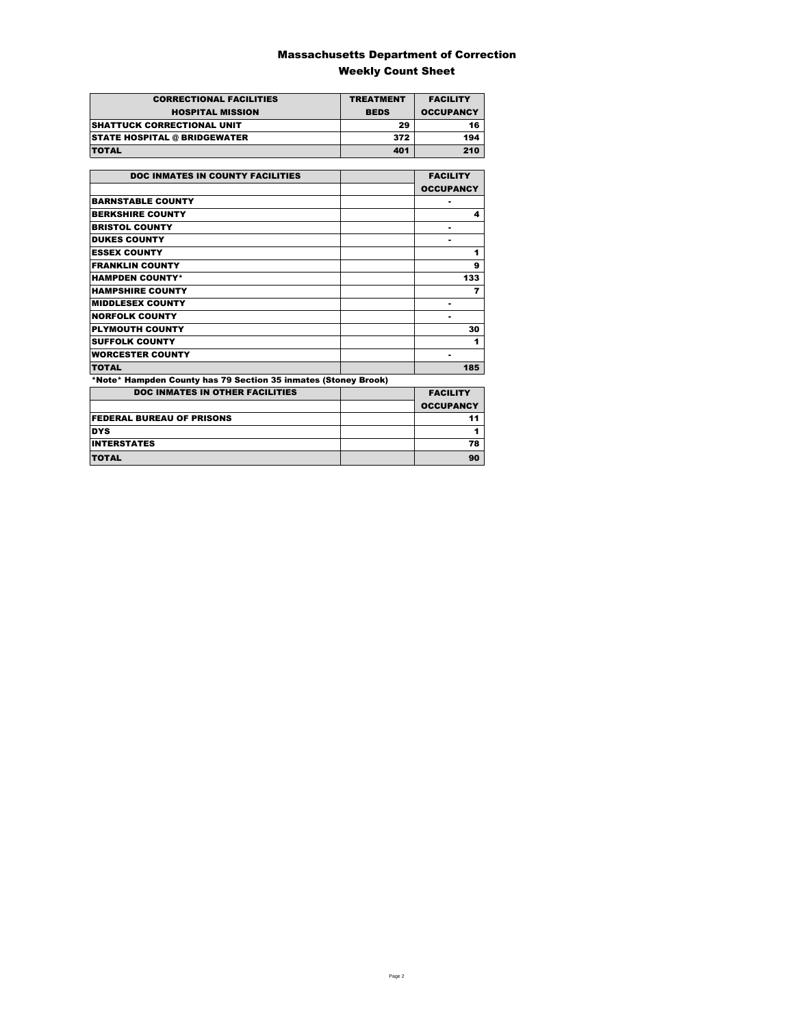### Massachusetts Department of Correction Weekly Count Sheet

| <b>CORRECTIONAL FACILITIES</b>      | <b>TREATMENT</b> | <b>FACILITY</b>  |
|-------------------------------------|------------------|------------------|
| <b>HOSPITAL MISSION</b>             | <b>BEDS</b>      | <b>OCCUPANCY</b> |
| <b>SHATTUCK CORRECTIONAL UNIT</b>   | 29               | 16               |
| <b>STATE HOSPITAL @ BRIDGEWATER</b> | 372              | 194              |
| <b>TOTAL</b>                        | 401              | 210              |

| <b>DOC INMATES IN COUNTY FACILITIES</b>                        | <b>FACILITY</b>  |
|----------------------------------------------------------------|------------------|
|                                                                | <b>OCCUPANCY</b> |
| <b>BARNSTABLE COUNTY</b>                                       |                  |
| <b>BERKSHIRE COUNTY</b>                                        | 4                |
| <b>BRISTOL COUNTY</b>                                          |                  |
| <b>DUKES COUNTY</b>                                            |                  |
| <b>ESSEX COUNTY</b>                                            | 1                |
| <b>FRANKLIN COUNTY</b>                                         | 9                |
| <b>HAMPDEN COUNTY*</b>                                         | 133              |
| <b>HAMPSHIRE COUNTY</b>                                        | 7                |
| <b>MIDDLESEX COUNTY</b>                                        |                  |
| <b>NORFOLK COUNTY</b>                                          |                  |
| <b>PLYMOUTH COUNTY</b>                                         | 30               |
| <b>SUFFOLK COUNTY</b>                                          | 1                |
| <b>WORCESTER COUNTY</b>                                        | ٠                |
| <b>TOTAL</b>                                                   | 185              |
| *Note* Hampden County has 79 Section 35 inmates (Stoney Brook) |                  |
| <b>DOC INMATES IN OTHER FACILITIES</b>                         | <b>FACILITY</b>  |
|                                                                | <b>OCCUPANCY</b> |
| <b>FEDERAL BUREAU OF PRISONS</b>                               | 11               |
| <b>DYS</b>                                                     | 1                |
| <b>INTERSTATES</b>                                             | 78               |
| TOTAL                                                          | 90               |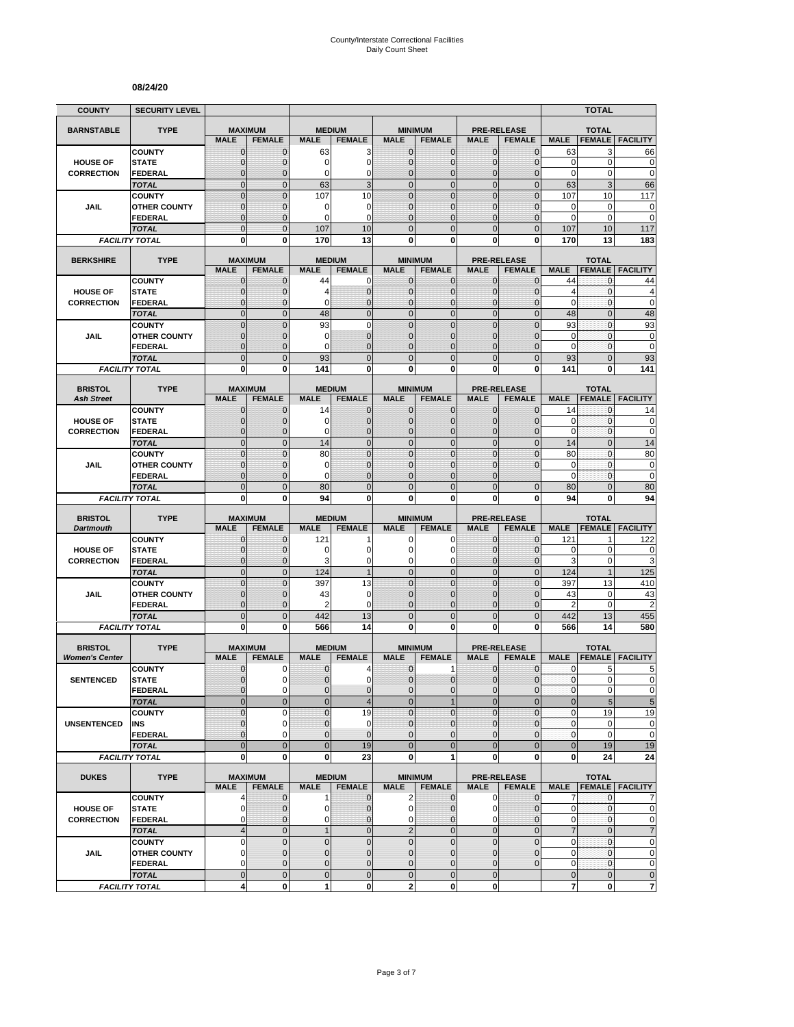#### **08/24/20**

| <b>COUNTY</b>                           | <b>SECURITY LEVEL</b>                 |                                |                                 |                              |                                  |                                |                                  |                              |                                     |                               | <b>TOTAL</b>                  |                                                                  |
|-----------------------------------------|---------------------------------------|--------------------------------|---------------------------------|------------------------------|----------------------------------|--------------------------------|----------------------------------|------------------------------|-------------------------------------|-------------------------------|-------------------------------|------------------------------------------------------------------|
| <b>BARNSTABLE</b>                       | <b>TYPE</b>                           | <b>MAXIMUM</b>                 |                                 | <b>MEDIUM</b>                |                                  |                                | <b>MINIMUM</b>                   |                              | <b>PRE-RELEASE</b>                  |                               | <b>TOTAL</b>                  |                                                                  |
|                                         |                                       | <b>MALE</b>                    | <b>FEMALE</b>                   | <b>MALE</b>                  | <b>FEMALE</b>                    | <b>MALE</b>                    | <b>FEMALE</b>                    | <b>MALE</b>                  | <b>FEMALE</b>                       | <b>MALE</b>                   | <b>FEMALE</b>                 | <b>FACILITY</b>                                                  |
|                                         | <b>COUNTY</b>                         | $\mathbf 0$                    | $\mathbf{0}$                    | 63                           | 3                                | $\mathbf 0$                    | 0                                | $\mathbf{0}$                 | $\mathbf{0}$                        | 63                            | 3                             | 66                                                               |
| <b>HOUSE OF</b>                         | <b>STATE</b>                          | $\overline{0}$                 | $\mathbf 0$                     | 0                            | $\mathbf 0$                      | $\mathbf 0$                    | $\overline{0}$                   | $\mathbf{0}$                 | $\overline{0}$                      | $\mathbf 0$                   | $\mathbf 0$                   | $\mathbf 0$                                                      |
| <b>CORRECTION</b>                       | FEDERAL<br><b>TOTAL</b>               | $\mathbf 0$<br>$\mathbf 0$     | $\mathbf 0$<br>$\mathbf{0}$     | 0<br>63                      | 0<br>3                           | $\mathbf{0}$<br>$\overline{0}$ | $\mathbf 0$<br>$\mathbf 0$       | $\mathbf 0$<br>$\mathbf{0}$  | $\overline{0}$<br>$\mathbf 0$       | $\mathbf 0$<br>63             | 0<br>3                        | $\mathbf 0$<br>66                                                |
|                                         | <b>COUNTY</b>                         | $\mathbf 0$                    | $\mathbf{0}$                    | 107                          | 10                               | $\mathbf 0$                    | $\mathbf 0$                      | $\mathbf 0$                  | $\overline{0}$                      | 107                           | 10                            | 117                                                              |
| JAIL                                    | <b>OTHER COUNTY</b>                   | $\mathbf 0$                    | $\mathbf 0$                     | 0                            | 0                                | $\mathbf{0}$                   | $\overline{0}$                   | $\mathbf 0$                  | $\overline{0}$                      | 0                             | 0                             | $\mathbf 0$                                                      |
|                                         | <b>FEDERAL</b>                        | $\overline{0}$                 | $\mathbf{0}$                    | $\Omega$                     | $\Omega$                         | $\mathbf{0}$                   | $\overline{0}$                   | $\Omega$                     | $\overline{0}$                      | $\mathbf 0$                   | $\mathbf 0$                   | $\mathbf 0$                                                      |
|                                         | <b>TOTAL</b>                          | $\overline{0}$                 | $\mathbf{0}$                    | 107                          | 10                               | $\Omega$                       | $\overline{0}$                   | $\Omega$                     | $\overline{0}$                      | 107                           | 10                            | 117                                                              |
|                                         | <b>FACILITY TOTAL</b>                 | 0                              | 0                               | 170                          | 13                               | $\mathbf{0}$                   | 0                                | 0                            | 0                                   | 170                           | 13                            | 183                                                              |
| <b>BERKSHIRE</b>                        | <b>TYPE</b>                           |                                | <b>MAXIMUM</b>                  | <b>MEDIUM</b>                |                                  |                                | <b>MINIMUM</b>                   |                              | <b>PRE-RELEASE</b>                  |                               | <b>TOTAL</b>                  |                                                                  |
|                                         |                                       | <b>MALE</b>                    | <b>FEMALE</b>                   | <b>MALE</b>                  | <b>FEMALE</b>                    | <b>MALE</b>                    | <b>FEMALE</b>                    | <b>MALE</b>                  | <b>FEMALE</b>                       | <b>MALE</b>                   | <b>FEMALE</b>                 | <b>FACILITY</b>                                                  |
|                                         | <b>COUNTY</b>                         | $\mathbf{0}$                   | $\mathbf 0$                     | 44                           | 0                                | $\mathbf{0}$                   | $\mathbf{0}$                     | $\mathbf{0}$                 | $\mathbf 0$                         | 44                            | 0                             | 44                                                               |
| <b>HOUSE OF</b><br><b>CORRECTION</b>    | <b>STATE</b><br><b>FEDERAL</b>        | 0<br>$\mathbf 0$               | $\mathbf{0}$<br>$\mathbf 0$     | 4<br>0                       | $\mathbf 0$<br>$\overline{0}$    | $\mathbf{0}$<br>$\mathbf{0}$   | $\mathbf 0$<br>$\overline{0}$    | $\mathbf{0}$<br>$\mathbf{0}$ | $\mathbf{0}$<br>$\overline{0}$      | $\overline{4}$<br>$\mathbf 0$ | 0<br>0                        | 4<br>$\mathbf 0$                                                 |
|                                         | <b>TOTAL</b>                          | $\overline{0}$                 | $\mathbf{0}$                    | 48                           | $\overline{0}$                   | $\overline{0}$                 | $\overline{0}$                   | $\mathbf{0}$                 | $\overline{0}$                      | 48                            | $\overline{0}$                | 48                                                               |
|                                         | <b>COUNTY</b>                         | $\overline{0}$                 | $\overline{0}$                  | 93                           | $\mathbf 0$                      | $\overline{0}$                 | $\overline{0}$                   | $\overline{0}$               | $\overline{0}$                      | 93                            | $\mathbf{0}$                  | 93                                                               |
| <b>JAIL</b>                             | <b>OTHER COUNTY</b>                   | 0                              | $\mathbf{0}$                    | 0                            | $\overline{0}$                   | $\Omega$                       | $\overline{0}$                   | $\Omega$                     | $\mathbf{0}$                        | 0                             | $\mathbf{0}$                  | $\bf{0}$                                                         |
|                                         | <b>FEDERAL</b>                        | $\mathbf 0$                    | $\mathbf{0}$                    | 0                            | $\overline{0}$                   | $\mathbf{0}$                   | $\overline{0}$                   | $\mathbf 0$                  | $\overline{0}$                      | $\mathbf 0$                   | $\mathbf{0}$                  | $\mathbf 0$                                                      |
|                                         | <b>TOTAL</b>                          | $\mathbf 0$                    | $\mathbf{0}$                    | 93                           | $\overline{0}$                   | $\mathbf{0}$                   | $\mathbf 0$                      | $\mathbf{0}$                 | $\mathbf 0$                         | 93                            | $\overline{0}$                | 93                                                               |
|                                         | <b>FACILITY TOTAL</b>                 | 0                              | $\bf{0}$                        | 141                          | 0                                | 0                              | $\bf{0}$                         | 0                            | 0                                   | 141                           | 0                             | 141                                                              |
| <b>BRISTOL</b>                          | <b>TYPE</b>                           | <b>MAXIMUM</b>                 |                                 | <b>MEDIUM</b>                |                                  |                                | <b>MINIMUM</b>                   |                              | <b>PRE-RELEASE</b>                  |                               | <b>TOTAL</b>                  |                                                                  |
| <b>Ash Street</b>                       |                                       | <b>MALE</b>                    | <b>FEMALE</b>                   | <b>MALE</b>                  | <b>FEMALE</b>                    | <b>MALE</b>                    | <b>FEMALE</b>                    | <b>MALE</b>                  | <b>FEMALE</b>                       | <b>MALE</b>                   | <b>FEMALE</b>                 | <b>FACILITY</b>                                                  |
|                                         | <b>COUNTY</b>                         | 0                              | $\mathbf{0}$                    | 14                           | $\mathbf 0$                      | $\mathbf 0$                    | 0                                | $\mathbf{0}$                 | $\mathbf{0}$                        | 14                            | 0                             | 14                                                               |
| <b>HOUSE OF</b>                         | <b>STATE</b>                          | $\mathbf{0}$                   | $\mathbf{0}$                    | 0                            | $\mathbf 0$                      | $\mathbf{0}$                   | $\mathbf{0}$                     | $\mathbf{0}$                 | $\mathbf{0}$                        | 0                             | 0                             | 0                                                                |
| <b>CORRECTION</b>                       | <b>FEDERAL</b><br><b>TOTAL</b>        | $\mathbf{0}$<br>$\overline{0}$ | $\mathbf{0}$<br>$\mathbf{0}$    | 0<br>14                      | $\overline{0}$<br>$\overline{0}$ | $\mathbf{0}$<br>$\mathbf 0$    | $\overline{0}$<br>$\overline{0}$ | $\mathbf{0}$<br>$\mathbf{0}$ | $\overline{0}$<br>$\overline{0}$    | $\mathbf 0$<br>14             | 0<br>$\overline{0}$           | $\mathbf 0$<br>14                                                |
|                                         | <b>COUNTY</b>                         | $\overline{0}$                 | $\Omega$                        | 80                           | $\overline{0}$                   | $\mathbf 0$                    | $\overline{0}$                   | $\overline{0}$               | $\overline{0}$                      | 80                            | $\overline{0}$                | 80                                                               |
| JAIL                                    | <b>OTHER COUNTY</b>                   | $\mathbf 0$                    | $\mathbf 0$                     | 0                            | $\overline{0}$                   | $\mathbf{0}$                   | $\overline{0}$                   | $\mathbf 0$                  | $\overline{0}$                      | $\mathbf 0$                   | $\mathbf{0}$                  | $\mathbf 0$                                                      |
|                                         | FEDERAL                               | $\overline{0}$                 | $\mathbf{0}$                    | 0                            | $\overline{0}$                   | $\Omega$                       | $\overline{0}$                   | $\Omega$                     |                                     | $\mathbf 0$                   | 0                             | $\mathbf 0$                                                      |
|                                         | <b>TOTAL</b>                          | $\overline{0}$                 | $\mathbf{0}$                    | 80                           | $\overline{0}$                   | $\overline{0}$                 | $\overline{0}$                   | $\overline{0}$               | $\overline{0}$                      | 80                            | $\overline{0}$                | 80                                                               |
|                                         | <b>FACILITY TOTAL</b>                 | 0                              |                                 |                              | 0                                |                                |                                  | 0                            |                                     | 94                            | 0                             |                                                                  |
|                                         |                                       |                                | 0                               | 94                           |                                  | 0                              | 0                                |                              | 0                                   |                               |                               | 94                                                               |
| <b>BRISTOL</b>                          | <b>TYPE</b>                           |                                | <b>MAXIMUM</b>                  | <b>MEDIUM</b>                |                                  |                                | <b>MINIMUM</b>                   |                              | <b>PRE-RELEASE</b>                  |                               | <b>TOTAL</b>                  |                                                                  |
| <b>Dartmouth</b>                        |                                       | <b>MALE</b>                    | <b>FEMALE</b>                   | <b>MALE</b>                  | <b>FEMALE</b>                    | <b>MALE</b>                    | <b>FEMALE</b>                    | <b>MALE</b>                  | <b>FEMALE</b>                       | <b>MALE</b>                   | <b>FEMALE</b>                 | <b>FACILITY</b>                                                  |
|                                         | <b>COUNTY</b>                         | $\mathbf 0$                    | $\mathbf 0$                     | 121                          |                                  | 0                              | 0                                | $\mathbf 0$                  | $\overline{0}$                      | 121                           | 1                             | 122                                                              |
| <b>HOUSE OF</b>                         | <b>STATE</b>                          | $\mathbf 0$                    | $\mathbf{0}$                    | 0                            | 0                                | $\Omega$                       | 0                                | $\Omega$                     | $\mathbf{0}$                        | 0                             | $\mathbf 0$                   | 0                                                                |
| <b>CORRECTION</b>                       | <b>FEDERAL</b>                        | $\mathbf 0$                    | $\mathbf{0}$                    | 3                            | 0                                | $\mathbf 0$                    | 0                                | $\mathbf 0$                  | $\mathbf{0}$                        | 3                             | 0                             | 3                                                                |
|                                         | <b>TOTAL</b>                          | $\mathbf 0$                    | $\mathbf{0}$<br>$\mathbf{0}$    | 124                          | $\overline{1}$                   | $\overline{0}$<br>$\mathbf{0}$ | $\mathbf 0$                      | $\mathbf{0}$<br>$\mathbf{0}$ | $\overline{0}$                      | 124                           | $\mathbf{1}$                  | 125                                                              |
| JAIL                                    | <b>COUNTY</b><br><b>OTHER COUNTY</b>  | $\mathbf 0$<br>$\overline{0}$  | $\mathbf{0}$                    | 397<br>43                    | 13<br>$\mathbf 0$                | $\mathbf{0}$                   | $\mathbf 0$<br>$\overline{0}$    | $\Omega$                     | $\mathbf 0$<br>$\overline{0}$       | 397<br>43                     | 13<br>0                       | 410<br>43                                                        |
|                                         | FEDERAL                               | $\mathbf 0$                    | $\mathbf{0}$                    | 2                            | 0                                | $\mathbf{0}$                   | 0                                | $\mathbf{0}$                 | $\mathbf 0$                         | $\overline{2}$                | $\mathbf 0$                   | $\overline{c}$                                                   |
|                                         | <b>TOTAL</b>                          | $\mathbf 0$                    | $\overline{0}$                  | 442                          | 13                               | $\mathbf 0$                    | $\mathbf 0$                      | $\overline{0}$               | $\mathbf 0$                         | 442                           | 13                            | 455                                                              |
|                                         | <b>FACILITY TOTAL</b>                 | $\mathbf 0$                    | $\mathbf{0}$                    | 566                          | 14                               | $\mathbf{0}$                   | $\bf{0}$                         | 0                            | 0                                   | 566                           | 14                            | 580                                                              |
|                                         |                                       |                                |                                 |                              |                                  |                                |                                  |                              |                                     |                               |                               |                                                                  |
| <b>BRISTOL</b><br><b>Women's Center</b> | <b>TYPE</b>                           | <b>MALE</b>                    | <b>MAXIMUM</b><br><b>FEMALE</b> | <b>MEDIUM</b><br><b>MALE</b> | <b>FEMALE</b>                    | <b>MALE</b>                    | <b>MINIMUM</b><br><b>FEMALE</b>  | <b>MALE</b>                  | <b>PRE-RELEASE</b><br><b>FEMALE</b> | <b>MALE</b>                   | <b>TOTAL</b><br><b>FEMALE</b> | <b>FACILITY</b>                                                  |
|                                         | <b>COUNTY</b>                         | 0                              | 0                               | 0                            | 4                                | $\mathbf 0$                    | 1                                | 0                            | $\mathbf 0$                         | 0                             | 5                             | 5                                                                |
| <b>SENTENCED</b>                        | <b>STATE</b>                          | $\overline{0}$                 | $\Omega$                        | $\overline{0}$               | $\mathbf 0$                      | $\overline{0}$                 | $\mathbf 0$                      | $\mathbf{0}$                 | $\mathbf{0}$                        | $\mathbf{0}$                  | $\overline{0}$                |                                                                  |
|                                         | <b>FEDERAL</b>                        | 0                              | $\mathbf 0$                     | 0                            | $\mathbf 0$                      | $\mathbf{0}$                   | $\mathbf 0$                      | $\mathbf 0$                  | $\mathbf 0$                         | $\pmb{0}$                     | 0                             |                                                                  |
|                                         | <b>TOTAL</b>                          | $\mathbf 0$                    | $\mathbf{0}$                    | $\mathbf 0$                  | $\overline{\mathcal{A}}$         | $\mathbf{0}$                   | $\mathbf{1}$                     | $\mathbf{0}$                 | $\mathbf 0$                         | $\bf 0$                       | $\overline{5}$                |                                                                  |
| <b>UNSENTENCED</b>                      | <b>COUNTY</b><br>INS                  | $\mathbf 0$<br>0               | 0<br>$\mathbf 0$                | $\overline{0}$<br>$\pmb{0}$  | 19<br>0                          | $\Omega$<br>$\mathbf 0$        | $\mathbf 0$<br>0                 | $\mathbf 0$<br>$\mathbf{0}$  | $\overline{0}$<br>$\mathbf 0$       | $\pmb{0}$<br>$\pmb{0}$        | 19<br>0                       |                                                                  |
|                                         | <b>FEDERAL</b>                        | $\overline{0}$                 | $\Omega$                        | 0                            | $\mathbf 0$                      | $\mathbf{0}$                   | $\overline{0}$                   | $\mathbf{0}$                 | $\overline{0}$                      | $\pmb{0}$                     | 0                             |                                                                  |
|                                         | <b>TOTAL</b>                          | $\overline{0}$                 | $\mathbf{0}$                    | $\mathbf 0$                  | 19                               | $\overline{0}$                 | $\overline{0}$                   | $\overline{0}$               | $\mathbf 0$                         | $\bf 0$                       | 19                            | 19                                                               |
|                                         | <b>FACILITY TOTAL</b>                 | 0                              | $\mathbf{0}$                    | 0                            | 23                               | 0                              | 1                                | $\mathbf 0$                  | 0                                   | 0                             | 24                            | 24                                                               |
| <b>DUKES</b>                            | <b>TYPE</b>                           |                                | <b>MAXIMUM</b>                  |                              | <b>MEDIUM</b>                    |                                | <b>MINIMUM</b>                   |                              | <b>PRE-RELEASE</b>                  |                               | <b>TOTAL</b>                  | 0<br>$\pmb{0}$<br>$\sqrt{5}$<br>19<br>$\pmb{0}$<br>$\mathbf 0$   |
|                                         |                                       | <b>MALE</b>                    | <b>FEMALE</b>                   | <b>MALE</b>                  | <b>FEMALE</b>                    | <b>MALE</b>                    | <b>FEMALE</b>                    | <b>MALE</b>                  | <b>FEMALE</b>                       |                               |                               | MALE   FEMALE   FACILITY                                         |
|                                         | <b>COUNTY</b>                         | 4                              | $\mathbf{0}$                    | 1                            | $\mathbf 0$                      | $\overline{2}$                 | $\mathbf 0$                      | $\mathbf 0$                  | $\mathbf 0$                         | 7                             | $\mathbf{0}$                  | 7                                                                |
| <b>HOUSE OF</b>                         | <b>STATE</b>                          | 0                              | 0                               | 0                            | $\overline{0}$                   | $\overline{0}$                 | 0                                | 0                            | $\mathbf 0$                         | 0                             | 0                             |                                                                  |
| <b>CORRECTION</b>                       | <b>FEDERAL</b>                        | 0                              | $\mathbf{0}$                    | 0                            | $\mathbf 0$                      | $\mathbf 0$                    | $\mathbf 0$                      | $\mathbf 0$                  | $\mathbf 0$                         | 0                             | 0                             | $\mathbf 0$<br>$\pmb{0}$                                         |
|                                         | <b>TOTAL</b>                          | $\overline{4}$                 | $\mathbf 0$                     | $\mathbf{1}$                 | $\mathbf 0$                      | $\overline{2}$                 | $\mathbf 0$                      | $\mathbf 0$                  | $\mathbf 0$                         | $\overline{7}$                | $\mathbf 0$                   | $\overline{7}$                                                   |
| JAIL                                    | <b>COUNTY</b><br><b>OTHER COUNTY</b>  | 0<br>$\overline{0}$            | $\mathbf 0$<br>$\mathbf{0}$     | $\pmb{0}$<br>$\mathbf{0}$    | $\mathbf 0$<br>$\overline{0}$    | $\mathbf{0}$<br>$\mathbf{0}$   | $\mathbf 0$<br>$\mathbf{0}$      | $\mathbf 0$<br>$\mathbf{0}$  | $\mathbf 0$<br>$\mathbf{0}$         | 0<br>$\mathbf 0$              | $\pmb{0}$<br>0                |                                                                  |
|                                         | <b>FEDERAL</b>                        | 0                              | $\mathbf 0$                     | 0                            | 0                                | $\mathbf 0$                    | 0                                | $\mathbf 0$                  | $\mathbf 0$                         | 0                             | $\pmb{0}$                     |                                                                  |
|                                         | <b>TOTAL</b><br><b>FACILITY TOTAL</b> | $\mathbf 0$<br>4               | $\mathbf 0$<br>$\mathbf 0$      | $\pmb{0}$<br>1               | $\mathbf 0$<br>0                 | $\mathbf 0$<br>$\mathbf{2}$    | $\mathbf 0$<br>0                 | $\mathbf 0$<br>$\mathbf 0$   |                                     | $\pmb{0}$<br>7                | $\mathbf 0$<br>0              | $\pmb{0}$<br>$\pmb{0}$<br>$\pmb{0}$<br>$\pmb{0}$<br>$\mathbf{z}$ |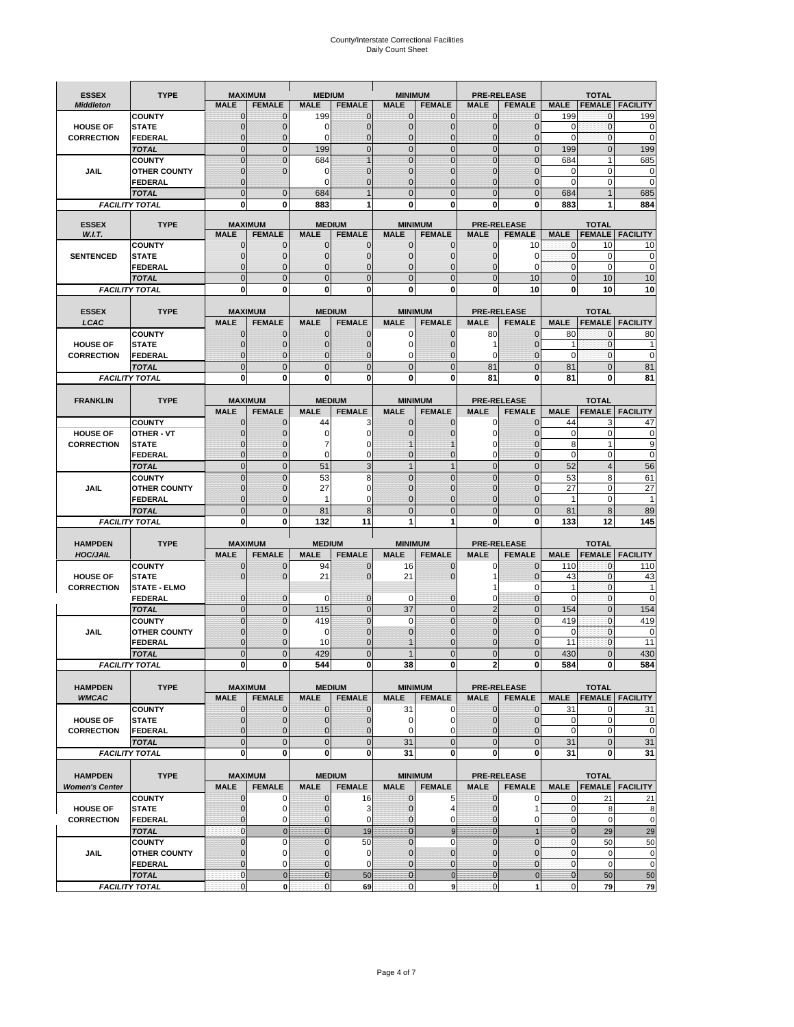# County/Interstate Correctional Facilities Daily Count Sheet

| <b>ESSEX</b>           | <b>TYPE</b>                           |                             | <b>MAXIMUM</b>                   | <b>MEDIUM</b>              |                                | <b>MINIMUM</b>               |                                 |                            | <b>PRE-RELEASE</b>                  |                            | <b>TOTAL</b>                  |                          |
|------------------------|---------------------------------------|-----------------------------|----------------------------------|----------------------------|--------------------------------|------------------------------|---------------------------------|----------------------------|-------------------------------------|----------------------------|-------------------------------|--------------------------|
| <b>Middleton</b>       |                                       | <b>MALE</b>                 | <b>FEMALE</b>                    | <b>MALE</b>                | <b>FEMALE</b>                  | <b>MALE</b>                  | <b>FEMALE</b>                   | MALE                       | <b>FEMALE</b>                       | <b>MALE</b>                | <b>FEMALE</b>                 | <b>FACILITY</b>          |
|                        | <b>COUNTY</b>                         | 0                           | 0                                | 199                        | 0                              | $\mathbf 0$                  | $\mathbf{0}$                    | 0                          | $\Omega$                            | 199                        | 0                             | 199                      |
| <b>HOUSE OF</b>        | <b>STATE</b>                          | 0                           | $\mathbf 0$                      | $\Omega$                   | 0                              | $\mathbf{0}$                 | $\Omega$                        | $\mathbf 0$                | $\Omega$                            | $\Omega$                   | $\Omega$                      | 0                        |
| <b>CORRECTION</b>      | <b>FEDERAL</b>                        | 0<br>$\overline{0}$         | $\mathbf 0$                      | 0                          | 0                              | $\mathbf{0}$                 | $\mathbf 0$                     | $\mathbf{0}$               | $\mathbf 0$<br>$\Omega$             | $\mathbf 0$                | $\mathbf{0}$                  | $\mathbf 0$              |
|                        | <b>TOTAL</b><br><b>COUNTY</b>         | $\mathbf 0$                 | $\overline{0}$<br>$\overline{0}$ | 199<br>684                 | $\mathbf 0$<br>1               | $\mathbf 0$<br>$\mathbf{0}$  | $\overline{0}$<br>$\Omega$      | $\mathbf 0$<br>$\mathbf 0$ | $\Omega$                            | 199<br>684                 | $\mathbf{0}$<br>1             | 199<br>685               |
| JAIL                   | <b>OTHER COUNTY</b>                   | $\mathbf 0$                 | $\overline{0}$                   | 0                          | 0                              | $\mathbf{0}$                 | $\mathbf{0}$                    | $\mathbf 0$                | ſ                                   | 0                          | $\mathbf 0$                   | 0                        |
|                        | <b>FEDERAL</b>                        | $\mathbf{0}$                |                                  | $\Omega$                   | $\Omega$                       | $\mathbf{0}$                 | $\Omega$                        | $\mathbf{0}$               | 0                                   | $\Omega$                   | $\mathbf 0$                   | 0                        |
|                        | <b>TOTAL</b>                          | $\overline{0}$              | $\mathbf 0$                      | 684                        |                                | $\Omega$                     | $\Omega$                        | $\overline{0}$             | $\Omega$                            | 684                        |                               | 685                      |
|                        | <b>FACILITY TOTAL</b>                 | 0                           | 0                                | 883                        |                                | $\bf{0}$                     | 0                               | 0                          | 0                                   | 883                        |                               | 884                      |
|                        |                                       |                             |                                  |                            |                                |                              |                                 |                            |                                     |                            |                               |                          |
| <b>ESSEX</b><br>W.I.T. | <b>TYPE</b>                           | <b>MALE</b>                 | <b>MAXIMUM</b><br><b>FEMALE</b>  | <b>MALE</b>                | <b>MEDIUM</b><br><b>FEMALE</b> | <b>MALE</b>                  | <b>MINIMUM</b><br><b>FEMALE</b> | <b>MALE</b>                | <b>PRE-RELEASE</b><br><b>FEMALE</b> | <b>MALE</b>                | <b>TOTAL</b><br><b>FEMALE</b> | <b>FACILITY</b>          |
|                        | <b>COUNTY</b>                         | $\mathbf{0}$                | 0                                | $\mathbf 0$                | 0                              | $\mathbf 0$                  | $\mathbf{0}$                    | $\mathbf 0$                | 10                                  | 0                          | 10                            | 10                       |
| <b>SENTENCED</b>       | <b>STATE</b>                          | 0                           | $\mathbf 0$                      | $\mathbf{0}$               | $\mathbf 0$                    | $\mathbf{0}$                 | $\mathbf{0}$                    | 0                          | $\Omega$                            | $\mathbf{0}$               | $\mathbf 0$                   | 0                        |
|                        | <b>FEDERAL</b>                        | $\overline{0}$              | $\mathbf 0$                      | $\mathbf{0}$               | 0                              | $\mathbf{0}$                 | 0                               | $\mathbf 0$                | $\Omega$                            | $\mathbf{0}$               | $\Omega$                      | $\mathbf 0$              |
|                        | <b>TOTAL</b>                          | $\overline{0}$              | $\overline{0}$                   | $\mathbf{0}$               | $\overline{0}$                 | $\mathbf{0}$                 | $\overline{0}$                  | $\overline{0}$             | 10                                  | $\mathbf{0}$               | 10                            | 10                       |
|                        | <b>FACILITY TOTAL</b>                 | 0                           | 0                                | $\bf{0}$                   | O                              | $\bf{0}$                     | 0                               | 0                          | 10                                  | $\bf{0}$                   | 10                            | 10                       |
|                        |                                       |                             |                                  |                            |                                |                              |                                 |                            |                                     |                            |                               |                          |
| <b>ESSEX</b><br>LCAC   | <b>TYPE</b>                           | <b>MALE</b>                 | <b>MAXIMUM</b><br><b>FEMALE</b>  | <b>MALE</b>                | <b>MEDIUM</b><br><b>FEMALE</b> | <b>MALE</b>                  | <b>MINIMUM</b><br><b>FEMALE</b> | <b>MALE</b>                | <b>PRE-RELEASE</b><br><b>FEMALE</b> | <b>MALE</b>                | <b>TOTAL</b>                  | <b>FEMALE</b>   FACILITY |
|                        | <b>COUNTY</b>                         | 0                           | 0                                | $\mathbf{0}$               | 0                              | 0                            | $\mathbf{0}$                    | 80                         | $\Omega$                            | 80                         | $\Omega$                      | 80                       |
| <b>HOUSE OF</b>        | <b>STATE</b>                          | 0                           | $\overline{0}$                   | $\mathbf 0$                | 0                              | $\mathbf 0$                  | $\Omega$                        | 1                          | $\sqrt{ }$                          | 1                          | $\mathbf 0$                   |                          |
| <b>CORRECTION</b>      | FEDERAL                               | 0                           | 0                                | $\mathbf{0}$               | 0                              | 0                            | $\Omega$                        | 0                          | $\mathbf 0$                         | $\mathbf 0$                | $\mathbf 0$                   | $\mathbf 0$              |
|                        | <b>TOTAL</b>                          | $\Omega$                    | $\overline{0}$                   | $\mathbf 0$                | $\overline{0}$                 | $\mathbf{0}$                 | $\Omega$                        | 81                         | $\Omega$                            | 81                         | $\Omega$                      | 81                       |
|                        | <b>FACILITY TOTAL</b>                 | 0                           | 0                                | 0                          | 0                              | $\bf{0}$                     | 0                               | 81                         | $\bf{0}$                            | 81                         | 0                             | 81                       |
|                        |                                       |                             |                                  |                            |                                |                              |                                 |                            |                                     |                            |                               |                          |
| <b>FRANKLIN</b>        | <b>TYPE</b>                           |                             | <b>MAXIMUM</b>                   |                            | <b>MEDIUM</b>                  |                              | <b>MINIMUM</b>                  |                            | <b>PRE-RELEASE</b>                  |                            | <b>TOTAL</b>                  |                          |
|                        | <b>COUNTY</b>                         | <b>MALE</b><br>$\mathbf{0}$ | <b>FEMALE</b><br>0               | <b>MALE</b><br>44          | <b>FEMALE</b><br>3             | <b>MALE</b><br>$\mathbf{0}$  | <b>FEMALE</b><br>0              | <b>MALE</b><br>0           | <b>FEMALE</b><br>$\Omega$           | <b>MALE</b><br>44          | <b>FEMALE</b><br>3            | <b>FACILITY</b><br>47    |
| <b>HOUSE OF</b>        | <b>OTHER - VT</b>                     | 0                           | $\overline{0}$                   | 0                          | 0                              | $\mathbf 0$                  |                                 | $\mathbf 0$                | $\Omega$                            | $\mathbf 0$                | $\mathbf 0$                   | 0                        |
| <b>CORRECTION</b>      | <b>STATE</b>                          | $\Omega$                    | $\mathbf 0$                      | 7                          | 0                              |                              |                                 | 0                          | $\sqrt{ }$                          | 8                          | $\overline{1}$                | 9                        |
|                        | FEDERAL                               | $\mathbf{0}$                | $\overline{0}$                   | $\mathbf 0$                | 0                              | $\mathbf{0}$                 | $\mathbf{0}$                    | 0                          | $\overline{0}$                      | $\mathbf 0$                | $\mathbf 0$                   | $\pmb{0}$                |
|                        | <b>TOTAL</b>                          | $\overline{0}$              | $\mathbf{0}$                     | 51                         | 3                              | $\overline{1}$               | $\mathbf{1}$                    | $\mathbf 0$                | $\overline{0}$                      | 52                         | $\overline{4}$                | 56                       |
|                        | <b>COUNTY</b>                         | $\Omega$                    | $\overline{0}$                   | 53                         | 8                              | $\Omega$                     | $\Omega$                        | $\mathbf 0$                | $\Omega$                            | 53                         | 8                             | 61                       |
| JAIL                   | <b>OTHER COUNTY</b>                   | 0                           | $\mathbf 0$                      | 27                         | 0                              | $\Omega$                     | $\Omega$                        | $\mathbf 0$                | $\sqrt{ }$                          | 27                         | $\mathbf 0$                   | 27                       |
|                        | <b>FEDERAL</b>                        | 0<br>$\mathbf{0}$           | 0<br>$\overline{0}$              | 1                          | 0<br>8                         | $\mathbf{0}$<br>$\mathbf{0}$ | $\Omega$<br>$\Omega$            | 0<br>$\overline{0}$        | $\Omega$<br>$\Omega$                | 1                          | $\mathbf 0$<br>8              | $\mathbf{1}$             |
|                        | <b>TOTAL</b><br><b>FACILITY TOTAL</b> | 0                           | 0                                | 81<br>132                  | 11                             | 1                            | 1                               | 0                          | 0                                   | 81<br>133                  | 12                            | 89<br>145                |
|                        |                                       |                             |                                  |                            |                                |                              |                                 |                            |                                     |                            |                               |                          |
| <b>HAMPDEN</b>         | <b>TYPE</b>                           |                             | <b>MAXIMUM</b>                   | <b>MEDIUM</b>              |                                | <b>MINIMUM</b>               |                                 |                            | <b>PRE-RELEASE</b>                  |                            | <b>TOTAL</b>                  |                          |
| <b>HOC/JAIL</b>        |                                       | <b>MALE</b>                 | <b>FEMALE</b>                    | <b>MALE</b>                | <b>FEMALE</b>                  | <b>MALE</b>                  | <b>FEMALE</b>                   | <b>MALE</b>                | <b>FEMALE</b>                       | <b>MALE</b>                | <b>FEMALE</b>                 | <b>FACILITY</b>          |
|                        | <b>COUNTY</b>                         | 0                           | 0                                | 94                         | 0                              | 16                           | 0                               | 0                          | $\mathbf 0$                         | 110                        | $\mathbf{0}$                  | 110                      |
| <b>HOUSE OF</b>        | <b>STATE</b>                          | 0                           | $\overline{0}$                   | 21                         | 0                              | 21                           | $\Omega$                        | 1<br>1                     | $\Omega$<br>0                       | 43<br>1                    | $\Omega$<br>$\mathbf{0}$      | 43<br>1                  |
| <b>CORRECTION</b>      | <b>STATE - ELMO</b><br><b>FEDERAL</b> | $\mathbf{0}$                | $\mathbf 0$                      | $\Omega$                   | 0                              | 0                            | $\mathbf{0}$                    | 0                          | 0                                   | $\Omega$                   | $\Omega$                      | $\mathbf 0$              |
|                        | <b>TOTAL</b>                          | $\overline{0}$              | $\overline{0}$                   | 115                        | $\overline{0}$                 | 37                           | $\mathbf{0}$                    | $\overline{2}$             | $\Omega$                            | 154                        | $\Omega$                      | 154                      |
|                        | <b>COUNTY</b>                         | $\overline{0}$              | $\overline{0}$                   | 419                        | 0                              | $\mathbf 0$                  | $\overline{0}$                  | $\overline{0}$             | $\overline{0}$                      | 419                        | $\mathbf{0}$                  | 419                      |
| <b>JAIL</b>            | <b>OTHER COUNTY</b>                   | 0                           | $\mathbf 0$                      | 0                          | 0                              | $\mathbf{0}$                 | $\Omega$                        | $\mathbf 0$                | $\Omega$                            | $\mathbf 0$                | $\mathbf 0$                   | 0                        |
|                        | <b>FEDERAL</b>                        | $\Omega$                    | $\mathbf 0$                      | 10                         | $\Omega$                       | 1                            | $\Omega$                        | $\mathbf 0$                | $\Omega$                            | 11                         | $\Omega$                      | 11                       |
|                        | <b>TOTAL</b>                          | $\overline{0}$              | $\overline{0}$                   | 429                        | $\Omega$                       |                              | $\overline{0}$                  | $\overline{0}$             | $\Omega$                            | 430                        | U                             | 430                      |
|                        | <b>FACILITY TOTAL</b>                 | $\mathbf{0}$                | O                                | 544                        | o                              | 38                           | 0                               | $\mathbf{z}$               | 0                                   | 584                        | 0                             | 584                      |
| <b>HAMPDEN</b>         | <b>TYPE</b>                           |                             | <b>MAXIMUM</b>                   |                            | <b>MEDIUM</b>                  |                              | <b>MINIMUM</b>                  |                            | <b>PRE-RELEASE</b>                  |                            | <b>TOTAL</b>                  |                          |
| <b>WMCAC</b>           |                                       | <b>MALE</b>                 | <b>FEMALE</b>                    | <b>MALE</b>                | <b>FEMALE</b>                  | <b>MALE</b>                  | <b>FEMALE</b>                   | <b>MALE</b>                | <b>FEMALE</b>                       | <b>MALE</b>                |                               | <b>FEMALE   FACILITY</b> |
|                        | <b>COUNTY</b>                         | $\mathbf 0$                 | $\mathbf{0}$                     | $\mathbf 0$                | 0                              | 31                           | 0                               | $\mathbf 0$                | $\mathbf 0$                         | 31                         | 0                             | 31                       |
| <b>HOUSE OF</b>        | <b>STATE</b>                          | $\mathbf{0}$                | $\mathbf{0}$                     | $\mathbf{0}$               | 0                              | $\mathbf 0$                  | 0                               | $\mathbf{0}$               | 0                                   | $\mathbf 0$                | $\mathbf 0$                   | 0                        |
| <b>CORRECTION</b>      | <b>FEDERAL</b>                        | $\mathbf{0}$                | 0                                | $\overline{0}$             | 0                              | $\mathbf 0$                  | $\Omega$                        | $\mathbf{0}$               | 0                                   | $\mathbf 0$                | $\mathbf 0$                   | $\mathbf 0$              |
|                        | <b>TOTAL</b>                          | $\mathbf{0}$                | $\overline{0}$                   | $\overline{0}$             | $\overline{0}$                 | 31                           | $\overline{0}$                  | $\mathbf 0$                | $\mathbf 0$                         | 31                         | $\mathbf{0}$                  | 31                       |
|                        | <b>FACILITY TOTAL</b>                 | $\bf{0}$                    | 0                                | $\mathbf{0}$               | 0                              | 31                           | 0                               | 0                          | $\bf{0}$                            | 31                         | 0                             | 31                       |
| <b>HAMPDEN</b>         | <b>TYPE</b>                           |                             | <b>MAXIMUM</b>                   |                            | <b>MEDIUM</b>                  |                              | <b>MINIMUM</b>                  |                            | <b>PRE-RELEASE</b>                  |                            | <b>TOTAL</b>                  |                          |
| <b>Women's Center</b>  |                                       | <b>MALE</b>                 | <b>FEMALE</b>                    | <b>MALE</b>                | <b>FEMALE</b>                  | <b>MALE</b>                  | <b>FEMALE</b>                   | <b>MALE</b>                | <b>FEMALE</b>                       | <b>MALE</b>                |                               | <b>FEMALE FACILITY</b>   |
|                        | <b>COUNTY</b>                         | 0                           | 0                                | $\mathbf 0$                | 16                             | $\mathbf 0$                  | 5                               | 0                          | 0                                   | 0                          | 21                            | 21                       |
| <b>HOUSE OF</b>        | <b>STATE</b>                          | $\mathbf{0}$                | $\mathbf 0$                      | $\mathbf 0$                | 3                              | $\mathbf{0}$                 | 4                               | $\mathbf 0$                | 1                                   | $\mathbf 0$                | 8                             | 8                        |
| <b>CORRECTION</b>      | <b>FEDERAL</b>                        | 0                           | 0                                | 0                          | 0                              | $\mathbf{0}$                 | 0                               | $\mathbf{0}$               | 0                                   | $\overline{0}$             | $\mathbf 0$                   | $\mathbf 0$              |
|                        | <b>TOTAL</b>                          | $\mathbf{0}$                | $\mathbf 0$                      | $\overline{0}$             | 19                             | $\mathbf{0}$                 | $\boldsymbol{9}$                | $\mathbf{0}$               |                                     | $\mathbf{0}$               | 29                            | 29                       |
|                        | <b>COUNTY</b>                         | $\overline{0}$              | $\mathbf 0$                      | $\mathbf{0}$               | 50                             | $\mathbf{0}$                 | $\mathbf 0$                     | $\overline{0}$             | $\overline{0}$                      | $\mathbf{0}$               | 50                            | 50                       |
| <b>JAIL</b>            | <b>OTHER COUNTY</b><br><b>FEDERAL</b> | 0<br>$\overline{0}$         | $\mathbf 0$<br>$\mathbf 0$       | $\mathbf 0$<br>$\mathbf 0$ | 0<br>0                         | $\mathbf 0$<br>$\mathbf 0$   | $\mathbf{0}$<br>$\mathbf{0}$    | 0<br>$\mathbf 0$           | $\Omega$<br>$\overline{0}$          | $\mathbf 0$<br>$\mathbf 0$ | $\mathbf 0$<br>$\mathbf 0$    | $\pmb{0}$<br>$\mathbf 0$ |
|                        | <b>TOTAL</b>                          | $\mathbf 0$                 | $\mathbf 0$                      | $\overline{0}$             | 50                             | $\overline{0}$               | $\mathbf 0$                     | $\mathbf{0}$               | $\mathbf 0$                         | $\mathbf{0}$               | 50                            | 50                       |
|                        | <b>FACILITY TOTAL</b>                 | $\pmb{0}$                   | $\mathbf 0$                      | $\mathbf{O}$               | 69                             | $\mathbf 0$                  | 9                               | $\mathbf{0}$               | 1                                   | $\overline{0}$             | 79                            | 79                       |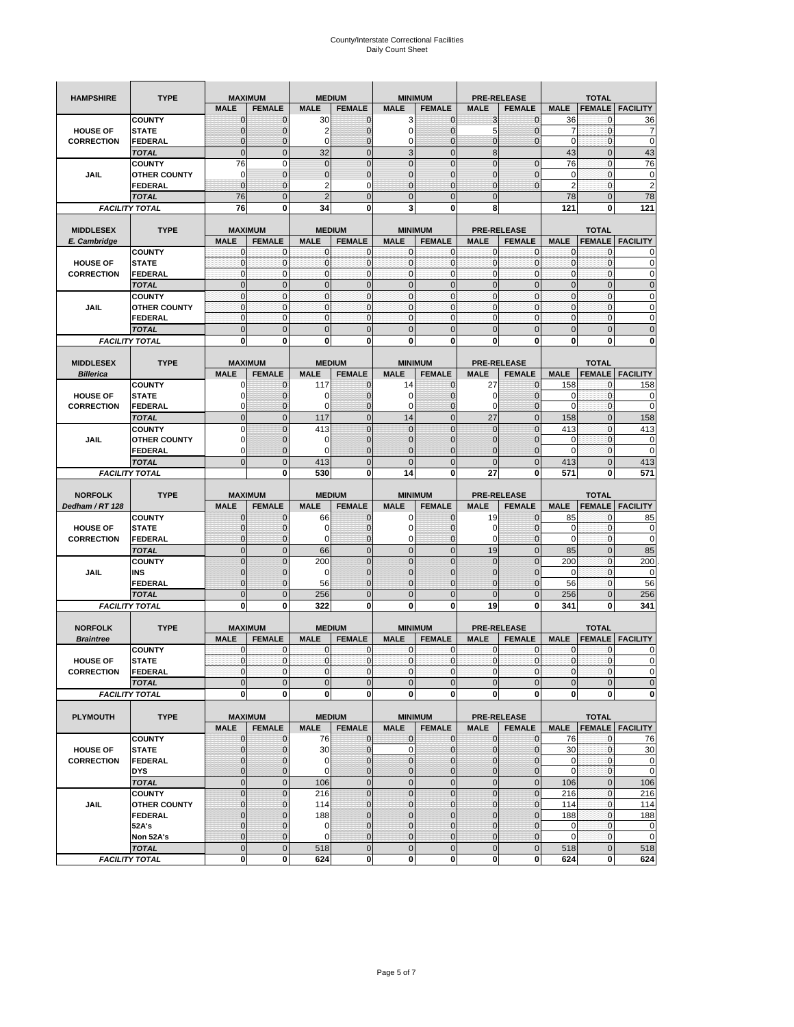| <b>HAMPSHIRE</b>  | <b>TYPE</b>                   | <b>MAXIMUM</b>              |                             | <b>MEDIUM</b>                 |                                |                               | <b>MINIMUM</b>                  |                            | <b>PRE-RELEASE</b>                  |                            | <b>TOTAL</b>                  |                             |
|-------------------|-------------------------------|-----------------------------|-----------------------------|-------------------------------|--------------------------------|-------------------------------|---------------------------------|----------------------------|-------------------------------------|----------------------------|-------------------------------|-----------------------------|
|                   |                               | <b>MALE</b>                 | <b>FEMALE</b>               | <b>MALE</b>                   | <b>FEMALE</b>                  | <b>MALE</b>                   | <b>FEMALE</b>                   | <b>MALE</b>                | <b>FEMALE</b>                       | <b>MALE</b>                | <b>FEMALE</b>                 | <b>FACILITY</b>             |
|                   | <b>COUNTY</b>                 | 0                           | $\mathbf 0$                 | 30                            | $\mathbf 0$                    | 3                             | $\mathbf{0}$                    | 3                          | $\overline{0}$                      | 36                         | 0                             | 36                          |
| <b>HOUSE OF</b>   | <b>STATE</b>                  | $\Omega$                    | $\mathbf{0}$                | $\overline{2}$                | $\mathbf{0}$                   | 0                             | $\mathbf{0}$                    | 5                          | $\overline{0}$                      | 7                          | $\mathbf 0$                   | 7                           |
| <b>CORRECTION</b> | <b>FEDERAL</b>                | $\mathbf 0$                 | $\mathbf{0}$                | 0                             | $\mathbf{0}$                   | 0                             | $\mathbf 0$                     | $\mathbf{0}$               | $\overline{0}$                      | $\mathbf 0$                | $\mathbf{0}$                  | $\mathbf 0$                 |
|                   | <b>TOTAL</b>                  | $\mathbf 0$                 | $\mathbf 0$                 | 32                            | $\mathbf 0$                    | $\overline{3}$                | $\mathbf 0$                     | 8                          |                                     | 43                         | $\mathbf 0$                   | 43                          |
|                   | <b>COUNTY</b>                 | 76                          | 0                           | $\overline{0}$                | $\pmb{0}$                      | $\overline{0}$                | $\overline{0}$                  | $\overline{0}$             | $\mathbf 0$                         | 76                         | $\mathbf 0$                   | 76                          |
| <b>JAIL</b>       | <b>OTHER COUNTY</b>           | 0                           | $\mathbf 0$                 | $\mathbf 0$                   | $\pmb{0}$                      | 0                             | $\mathbf 0$                     | 0                          | $\overline{0}$                      | 0                          | $\mathbf{0}$                  | 0                           |
|                   | FEDERAL                       | $\overline{0}$              | $\mathbf{0}$                | $\overline{2}$                | $\mathbf 0$                    | $\overline{0}$                | $\mathbf{0}$                    | 0                          | $\overline{0}$                      | $\overline{2}$             | $\mathbf{0}$                  | $\mathbf 2$                 |
|                   | <b>TOTAL</b>                  | 76                          | $\mathbf 0$                 | $\overline{2}$                | $\mathbf{0}$                   | $\mathbf 0$                   | $\mathbf{0}$                    | $\mathbf{0}$               |                                     | 78                         | $\mathbf 0$                   | 78<br>121                   |
|                   | <b>FACILITY TOTAL</b>         | 76                          | 0                           | 34                            | 0                              | 3                             | 0                               | 8                          |                                     | 121                        | 0                             |                             |
| <b>MIDDLESEX</b>  | <b>TYPE</b>                   | <b>MAXIMUM</b>              |                             | <b>MEDIUM</b>                 |                                |                               | <b>MINIMUM</b>                  |                            | <b>PRE-RELEASE</b>                  |                            | <b>TOTAL</b>                  |                             |
| E. Cambridge      |                               | <b>MALE</b>                 | <b>FEMALE</b>               | <b>MALE</b>                   | <b>FEMALE</b>                  | <b>MALE</b>                   | <b>FEMALE</b>                   | <b>MALE</b>                | <b>FEMALE</b>                       | <b>MALE</b>                | <b>FEMALE</b>                 | <b>FACILITY</b>             |
|                   | <b>COUNTY</b>                 | 0                           | 0                           | C                             | 0                              | 0                             | $\mathbf{0}$                    | 0                          | 0                                   | $\mathbf{0}$               | 0                             | 0                           |
| <b>HOUSE OF</b>   | <b>STATE</b>                  | $\pmb{0}$                   | $\mathbf 0$                 | C                             | $\bf{0}$                       | $\mathbf{0}$                  | $\mathbf 0$                     | $\mathbf{0}$               | $\mathbf 0$                         | $\pmb{0}$                  | $\mathbf 0$                   | 0                           |
| <b>CORRECTION</b> | FEDERAL                       | $\mathbf{0}$                | $\mathbf 0$                 | $\mathbf 0$                   | $\mathbf{0}$                   | $\mathbf{0}$                  | $\mathbf{0}$                    | $\mathbf{0}$               | $\mathbf 0$                         | $\mathbf{0}$               | $\mathbf{0}$                  | 0                           |
|                   | <b>TOTAL</b>                  | $\mathbf{0}$                | $\mathbf{0}$                | $\overline{0}$                | $\mathbf{0}$                   | $\overline{0}$                | $\mathbf{0}$                    | $\mathbf{0}$               | $\overline{0}$                      | $\pmb{0}$                  | $\mathbf{0}$                  | $\mathbf{0}$                |
|                   | <b>COUNTY</b>                 | $\mathbf{0}$                | $\mathbf 0$                 | $\mathbf 0$                   | $\mathbf{0}$                   | $\mathbf{0}$                  | $\mathbf{0}$                    | $\mathbf{0}$               | $\mathbf{0}$                        | $\bf 0$                    | $\mathbf{0}$                  | 0                           |
| JAIL              | <b>OTHER COUNTY</b>           | $\mathbf{0}$                | $\mathbf 0$                 | $\Omega$                      | $\mathbf{0}$                   | $\mathbf 0$                   | $\mathbf{0}$                    | $\mathbf{0}$               | $\mathbf 0$                         | $\mathbf{0}$               | $\mathbf{0}$                  | 0                           |
|                   | FEDERAL                       | $\mathbf{0}$                | $\mathbf 0$                 | $\mathbf 0$                   | $\mathbf{0}$                   | $\mathbf{0}$                  | $\mathbf{0}$                    | $\pmb{0}$                  | $\mathbf 0$                         | $\mathbf{0}$               | $\pmb{0}$                     | 0                           |
|                   | <b>TOTAL</b>                  | $\mathbf{0}$                | $\mathbf 0$                 | $\overline{0}$                | $\mathbf 0$                    | $\mathbf 0$                   | $\mathbf{0}$                    | $\overline{0}$             | $\mathbf 0$                         | $\mathbf 0$                | $\mathbf 0$                   | $\mathbf 0$                 |
|                   | <b>FACILITY TOTAL</b>         | 0                           | 0                           | $\bf{0}$                      | 0                              | 0                             | 0                               | 0                          | 0                                   | 0                          | 0                             | 0                           |
| <b>MIDDLESEX</b>  | <b>TYPE</b>                   | <b>MAXIMUM</b>              |                             |                               |                                |                               |                                 |                            |                                     |                            |                               |                             |
| <b>Billerica</b>  |                               | <b>MALE</b>                 | <b>FEMALE</b>               | <b>MALE</b>                   | <b>MEDIUM</b><br><b>FEMALE</b> | <b>MALE</b>                   | <b>MINIMUM</b><br><b>FEMALE</b> | <b>MALE</b>                | <b>PRE-RELEASE</b><br><b>FEMALE</b> | <b>MALE</b>                | <b>TOTAL</b><br><b>FEMALE</b> | <b>FACILITY</b>             |
|                   | <b>COUNTY</b>                 | O                           | $\mathbf{0}$                | 117                           | $\mathbf 0$                    | 14                            | $\mathbf{0}$                    | 27                         | $\overline{0}$                      | 158                        | 0                             | 158                         |
| <b>HOUSE OF</b>   | <b>STATE</b>                  | C                           | $\mathbf{0}$                | C                             | $\mathbf{0}$                   | 0                             | $\mathbf{0}$                    | 0                          | $\overline{0}$                      | 0                          | $\mathbf 0$                   | 0                           |
| <b>CORRECTION</b> | <b>FEDERAL</b>                | 0                           | 0                           | $\Omega$                      | $\mathbf{0}$                   | 0                             | $\mathbf{0}$                    | 0                          | $\mathbf 0$                         | 0                          | $\mathbf 0$                   | 0                           |
|                   | <b>TOTAL</b>                  | $\mathbf{0}$                | $\mathbf 0$                 | 117                           | $\mathbf{0}$                   | 14                            | $\mathbf{0}$                    | 27                         | $\overline{0}$                      | 158                        | $\mathbf 0$                   | 158                         |
|                   | <b>COUNTY</b>                 | $\Omega$                    | $\mathbf{0}$                | 413                           | $\mathbf{0}$                   | $\overline{0}$                | $\overline{0}$                  | $\mathbf 0$                | $\overline{0}$                      | 413                        | $\mathbf 0$                   | 413                         |
| JAIL              | <b>OTHER COUNTY</b>           | 0                           | 0                           | 0                             | $\mathbf 0$                    | $\mathbf{0}$                  | $\overline{0}$                  | 0                          | $\mathbf 0$                         | 0                          | $\mathbf 0$                   | 0                           |
|                   | <b>FEDERAL</b>                | 0                           | $\mathbf{0}$                | $\epsilon$                    | $\mathbf{0}$                   | $\overline{0}$                | $\overline{0}$                  | $\overline{0}$             | $\overline{0}$                      | $\mathbf 0$                | $\mathbf{0}$                  | $\mathbf 0$                 |
|                   | <b>TOTAL</b>                  | $\overline{0}$              | $\mathbf 0$                 | 413                           | $\mathbf 0$                    | $\overline{0}$                | $\mathbf{0}$                    | $\mathbf{0}$               | $\mathbf 0$                         | 413                        | $\mathbf 0$                   | 413                         |
|                   | <b>FACILITY TOTAL</b>         |                             | 0                           | 530                           | 0                              | 14                            | 0                               | 27                         | 0                                   | 571                        | 0                             | 571                         |
|                   |                               |                             |                             |                               |                                |                               |                                 |                            |                                     |                            |                               |                             |
|                   |                               |                             |                             |                               |                                |                               |                                 |                            |                                     |                            |                               |                             |
| <b>NORFOLK</b>    | <b>TYPE</b>                   | <b>MAXIMUM</b>              |                             |                               | <b>MEDIUM</b>                  |                               | <b>MINIMUM</b>                  |                            | <b>PRE-RELEASE</b>                  |                            | <b>TOTAL</b>                  |                             |
| Dedham / RT 128   |                               | <b>MALE</b>                 | <b>FEMALE</b>               | <b>MALE</b>                   | <b>FEMALE</b>                  | <b>MALE</b>                   | <b>FEMALE</b>                   | <b>MALE</b>                | <b>FEMALE</b>                       | <b>MALE</b>                | <b>FEMALE</b>                 | <b>FACILITY</b>             |
|                   | <b>COUNTY</b>                 | $\Omega$                    | $\mathbf 0$                 | 66                            | $\mathbf 0$                    | 0                             | $\mathbf{0}$                    | 19                         | $\overline{0}$                      | 85                         | 0                             | 85                          |
| <b>HOUSE OF</b>   | <b>STATE</b>                  | 0                           | $\mathbf{0}$                | O                             | $\mathbf{0}$                   | $\mathbf 0$                   | $\mathbf{0}$                    | 0                          | $\overline{0}$                      | 0                          | $\mathbf 0$                   | 0                           |
| <b>CORRECTION</b> | <b>FEDERAL</b>                | $\mathbf 0$<br>$\mathbf{0}$ | 0                           | 0                             | $\mathbf 0$<br>$\mathbf{0}$    | 0                             | 0<br>$\mathbf{0}$               | 0                          | $\mathbf 0$                         | $\mathbf 0$                | $\mathbf 0$                   | 0                           |
|                   | <b>TOTAL</b><br><b>COUNTY</b> | $\mathbf{0}$                | $\mathbf 0$<br>$\mathbf 0$  | 66<br>200                     | $\mathbf{0}$                   | $\mathbf 0$<br>$\overline{0}$ | $\overline{0}$                  | 19<br>$\mathbf 0$          | $\mathbf 0$<br>$\overline{0}$       | 85<br>200                  | $\mathbf{0}$<br>$\mathbf 0$   | 85<br>200                   |
| <b>JAIL</b>       | INS                           | $\mathbf{0}$                | 0                           | 0                             | $\mathbf 0$                    | $\mathbf{0}$                  | $\overline{0}$                  | 0                          | 0                                   | 0                          | 0                             | 0                           |
|                   | FEDERAL                       | $\overline{0}$              | $\mathbf 0$                 | 56                            | $\mathbf 0$                    | $\overline{0}$                | $\overline{0}$                  | $\overline{0}$             | $\overline{0}$                      | 56                         | $\mathbf{0}$                  | 56                          |
|                   | <b>TOTAL</b>                  | $\overline{0}$              | $\overline{0}$              | 256                           | $\mathbf{0}$                   | $\overline{0}$                | $\mathbf 0$                     | $\overline{0}$             | $\overline{0}$                      | 256                        | $\overline{0}$                | 256                         |
|                   | <b>FACILITY TOTAL</b>         | 0                           | 0                           | 322                           | 0                              | 0                             | 0                               | 19                         | 0                                   | 341                        | 0                             | 341                         |
|                   |                               |                             |                             |                               |                                |                               |                                 |                            |                                     |                            |                               |                             |
| <b>NORFOLK</b>    | <b>TYPE</b>                   | <b>MAXIMUM</b>              |                             |                               | <b>MEDIUM</b>                  |                               | <b>MINIMUM</b>                  |                            | <b>PRE-RELEASE</b>                  |                            | <b>TOTAL</b>                  |                             |
| <b>Braintree</b>  |                               | <b>MALE</b>                 | <b>FEMALE</b>               | <b>MALE</b>                   | <b>FEMALE</b>                  | <b>MALE</b>                   | <b>FEMALE</b>                   | <b>MALE</b>                | <b>FEMALE</b>                       | <b>MALE</b>                | <b>FEMALE</b>                 | <b>FACILITY</b>             |
|                   | <b>COUNTY</b>                 | 0                           | 0                           | $\mathbf 0$                   | 0                              | $\mathbf{0}$                  | $\mathbf{0}$                    | 0                          | 0                                   | 0                          | 0                             | 0                           |
| <b>HOUSE OF</b>   | <b>STATE</b>                  | $\overline{0}$              | $\mathbf{0}$                | $\mathbf 0$                   | $\mathbf{0}$                   | $\mathbf{0}$                  | $\overline{0}$                  | 0                          | $\overline{0}$                      | $\mathbf{0}$               | $\mathbf{O}$                  | $\overline{0}$              |
| <b>CORRECTION</b> | <b>FEDERAL</b>                | $\mathbf 0$<br>$\mathbf{0}$ | $\mathbf 0$                 | $\mathbf 0$<br>$\overline{0}$ | $\mathbf 0$                    | $\mathbf 0$<br>$\mathbf 0$    | $\overline{0}$                  | 0                          | $\mathbf 0$                         | $\pmb{0}$                  | $\mathbf 0$                   | 0                           |
|                   | <b>TOTAL</b>                  | $\bf{0}$                    | $\mathbf 0$<br>0            | 0                             | $\pmb{0}$<br>$\mathbf 0$       | $\mathbf{0}$                  | $\mathbf 0$<br><sub>0</sub>     | $\mathbf 0$                | $\pmb{0}$<br>0                      | $\mathbf 0$<br>$\mathbf 0$ | $\pmb{0}$<br>$\mathbf 0$      | $\mathbf 0$<br>$\mathbf{0}$ |
|                   | <b>FACILITY TOTAL</b>         |                             |                             |                               |                                |                               |                                 | $\mathbf 0$                |                                     |                            |                               |                             |
| <b>PLYMOUTH</b>   | <b>TYPE</b>                   |                             | <b>MAXIMUM</b>              |                               | <b>MEDIUM</b>                  |                               | <b>MINIMUM</b>                  |                            | <b>PRE-RELEASE</b>                  |                            | <b>TOTAL</b>                  |                             |
|                   |                               | <b>MALE</b>                 | <b>FEMALE</b>               | <b>MALE</b>                   | <b>FEMALE</b>                  | <b>MALE</b>                   | <b>FEMALE</b>                   | <b>MALE</b>                | <b>FEMALE</b>                       | <b>MALE</b>                |                               | <b>FEMALE</b> FACILITY      |
|                   | <b>COUNTY</b>                 | $\mathbf{0}$                | $\mathbf{0}$                | 76                            | $\mathbf{0}$                   | $\mathbf 0$                   | $\mathbf{0}$                    | $\mathbf 0$                | $\mathbf{0}$                        | 76                         | $\mathbf 0$                   | 76                          |
| <b>HOUSE OF</b>   | <b>STATE</b>                  | $\mathbf{0}$                | $\mathbf{0}$                | 30                            | $\mathbf 0$                    | $\mathbf 0$                   | $\mathbf 0$                     | $\mathbf 0$                | $\mathbf 0$                         | 30                         | $\mathbf 0$                   | 30                          |
| <b>CORRECTION</b> | <b>FEDERAL</b>                | $\mathbf{0}$                | $\mathbf 0$                 | $\mathbf 0$                   | $\mathbf{0}$                   | $\mathbf 0$                   | $\mathbf{0}$                    | 0                          | $\mathbf{0}$                        | $\mathbf 0$                | $\mathbf 0$                   | $\mathbf 0$                 |
|                   | <b>DYS</b>                    | $\mathbf{0}$                | $\mathbf{0}$                | $\mathbf 0$                   | $\mathbf 0$                    | $\mathbf 0$                   | $\mathbf{0}$                    | $\mathbf 0$                | $\mathbf 0$                         | $\mathbf{0}$               | $\overline{0}$                | $\mathbf 0$                 |
|                   | <b>TOTAL</b>                  | $\mathbf 0$                 | $\mathbf 0$                 | 106                           | $\mathbf 0$                    | $\mathbf 0$                   | $\mathbf 0$                     | $\mathbf 0$                | $\pmb{0}$                           | 106                        | $\mathbf{0}$                  | 106                         |
|                   | <b>COUNTY</b>                 | $\overline{0}$              | $\mathbf 0$                 | 216                           | $\pmb{0}$                      | $\mathbf 0$                   | $\pmb{0}$                       | $\mathbf 0$                | $\pmb{0}$                           | 216                        | $\mathbf 0$                   | 216                         |
| JAIL              | <b>OTHER COUNTY</b>           | $\mathbf{0}$                | $\mathbf{0}$                | 114                           | $\mathbf 0$                    | $\mathbf 0$                   | $\mathbf{0}$                    | $\mathbf 0$                | $\mathbf{0}$                        | 114                        | $\mathbf 0$                   | 114                         |
|                   | <b>FEDERAL</b>                | $\Omega$                    | $\bf 0$                     | 188                           | $\mathbf 0$                    | $\mathbf 0$                   | $\mathbf{0}$                    | 0                          | $\mathbf 0$                         | 188                        | $\mathbf 0$                   | 188                         |
|                   | 52A's                         | $\Omega$<br>$\mathbf{0}$    | $\mathbf 0$                 | $\mathbf 0$<br>$\mathbf 0$    | $\mathbf{0}$                   | $\mathbf 0$                   | $\mathbf 0$<br>$\mathbf{0}$     | $\overline{0}$             | $\mathbf 0$                         | 0                          | $\mathbf{0}$                  | $\mathbf 0$                 |
|                   | Non 52A's<br><b>TOTAL</b>     | $\overline{0}$              | $\mathbf{0}$<br>$\mathbf 0$ | 518                           | $\mathbf 0$<br>$\mathbf{0}$    | $\mathbf 0$<br>$\overline{0}$ | $\overline{0}$                  | $\mathbf 0$<br>$\mathbf 0$ | $\mathbf 0$<br>$\mathsf 0$          | $\mathbf 0$<br>518         | $\mathbf 0$<br>$\mathbf 0$    | $\mathbf 0$<br>518          |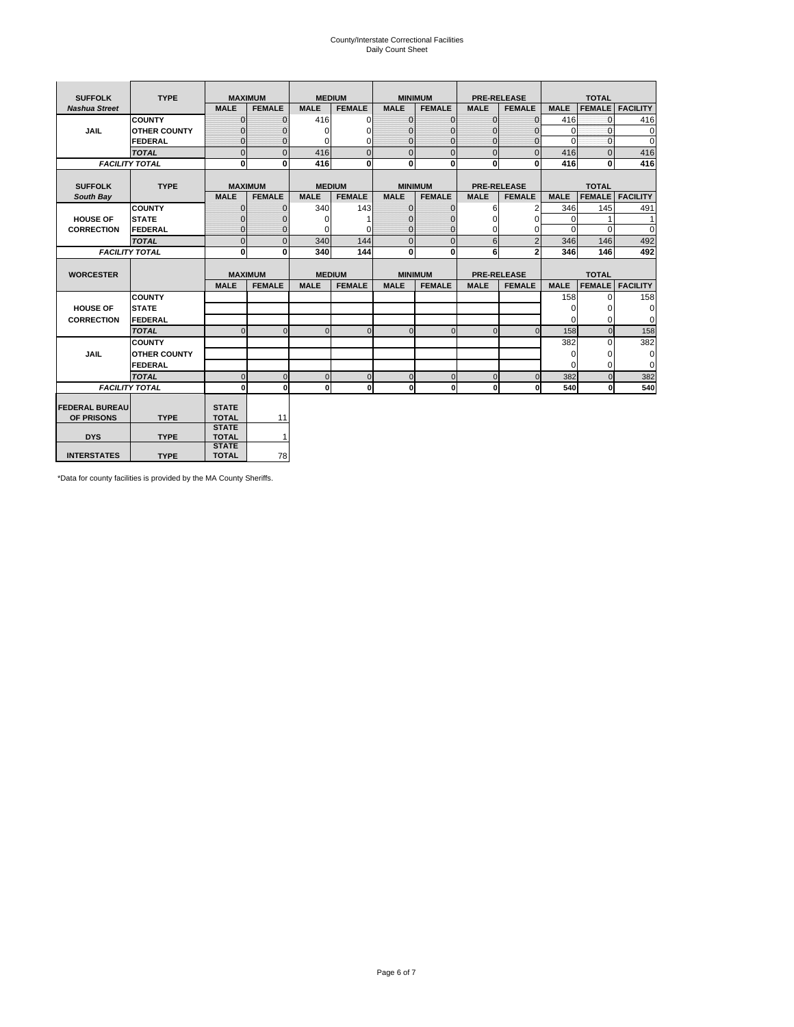# County/Interstate Correctional Facilities Daily Count Sheet

| <b>SUFFOLK</b>        | <b>TYPE</b>           |                              | <b>MAXIMUM</b> | <b>MEDIUM</b> |                |                | <b>MINIMUM</b> |                | <b>PRE-RELEASE</b> |             | <b>TOTAL</b>  |                 |
|-----------------------|-----------------------|------------------------------|----------------|---------------|----------------|----------------|----------------|----------------|--------------------|-------------|---------------|-----------------|
| <b>Nashua Street</b>  |                       | <b>MALE</b>                  | <b>FEMALE</b>  | <b>MALE</b>   | <b>FEMALE</b>  | <b>MALE</b>    | <b>FEMALE</b>  | <b>MALE</b>    | <b>FEMALE</b>      | <b>MALE</b> | <b>FEMALE</b> | <b>FACILITY</b> |
|                       | <b>COUNTY</b>         | $\Omega$                     | $\mathbf{0}$   | 416           | $\Omega$       | $\mathbf{0}$   | $\Omega$       | $\Omega$       | $\Omega$           | 416         | $\Omega$      | 416             |
| <b>JAIL</b>           | <b>OTHER COUNTY</b>   | $\Omega$                     | 0              | $\Omega$      | 0              | $\mathbf{0}$   | $\Omega$       | $\mathbf 0$    | $\Omega$           | $\Omega$    | $\Omega$      | $\mathbf 0$     |
|                       | <b>FEDERAL</b>        | $\Omega$                     | $\Omega$       | 0             | $\Omega$       | $\mathbf{0}$   | $\Omega$       | $\Omega$       | $\Omega$           | $\Omega$    | $\Omega$      | $\Omega$        |
|                       | <b>TOTAL</b>          | $\Omega$                     | $\mathbf 0$    | 416           | $\overline{0}$ | $\mathbf{0}$   | $\mathbf{0}$   | $\mathbf{0}$   | $\Omega$           | 416         | $\Omega$      | 416             |
|                       | <b>FACILITY TOTAL</b> | 0                            | 0              | 416           | $\bf{0}$       | <sub>0</sub>   | 0              | $\mathbf{0}$   | 0                  | 416         | 0             | 416             |
|                       |                       |                              |                |               |                |                |                |                |                    |             |               |                 |
| <b>SUFFOLK</b>        | <b>TYPE</b>           |                              | <b>MAXIMUM</b> | <b>MEDIUM</b> |                |                | <b>MINIMUM</b> |                | <b>PRE-RELEASE</b> |             | <b>TOTAL</b>  |                 |
| South Bay             |                       | <b>MALE</b>                  | <b>FEMALE</b>  | <b>MALE</b>   | <b>FEMALE</b>  | <b>MALE</b>    | <b>FEMALE</b>  | <b>MALE</b>    | <b>FEMALE</b>      | <b>MALE</b> | <b>FEMALE</b> | <b>FACILITY</b> |
|                       | <b>COUNTY</b>         | $\Omega$                     | $\mathbf{0}$   | 340           | 143            | $\mathbf{0}$   | $\mathbf{0}$   | 6              | 2                  | 346         | 145           | 491             |
| <b>HOUSE OF</b>       | <b>STATE</b>          |                              | $\mathbf{0}$   | $\Omega$      |                | $\Omega$       | O              | $\Omega$       | $\Omega$           | $\Omega$    |               | 1               |
| <b>CORRECTION</b>     | <b>FEDERAL</b>        | $\Omega$                     | $\mathbf{0}$   | $\Omega$      | $\Omega$       | $\mathbf{0}$   | $\mathbf{0}$   | $\Omega$       | 0                  | $\Omega$    | $\Omega$      | $\Omega$        |
|                       | <b>TOTAL</b>          | $\Omega$                     | $\overline{0}$ | 340           | 144            | $\overline{0}$ | $\mathbf{0}$   | 6              | $\overline{2}$     | 346         | 146           | 492             |
|                       | <b>FACILITY TOTAL</b> | 0                            | 0              | 340           | 144            | <sub>0</sub>   | 0              | 6              | $\overline{2}$     | 346         | 146           | 492             |
|                       |                       |                              |                |               |                |                |                |                |                    |             |               |                 |
| <b>WORCESTER</b>      |                       |                              | <b>MAXIMUM</b> | <b>MEDIUM</b> |                |                | <b>MINIMUM</b> |                | <b>PRE-RELEASE</b> |             | <b>TOTAL</b>  |                 |
|                       |                       | <b>MALE</b>                  | <b>FEMALE</b>  | <b>MALE</b>   | <b>FEMALE</b>  | <b>MALE</b>    | <b>FEMALE</b>  | <b>MALE</b>    | <b>FEMALE</b>      | <b>MALE</b> | <b>FEMALE</b> | <b>FACILITY</b> |
|                       | <b>COUNTY</b>         |                              |                |               |                |                |                |                |                    | 158         | $\Omega$      | 158             |
| <b>HOUSE OF</b>       | <b>STATE</b>          |                              |                |               |                |                |                |                |                    | 0           | 0             | 0               |
| <b>CORRECTION</b>     | <b>FEDERAL</b>        |                              |                |               |                |                |                |                |                    | $\Omega$    | $\Omega$      | $\Omega$        |
|                       | <b>TOTAL</b>          | U                            | $\Omega$       | $\Omega$      | $\mathbf 0$    | $\Omega$       | $\Omega$       | $\Omega$       | $\Omega$           | 158         | $\Omega$      | 158             |
|                       | <b>COUNTY</b>         |                              |                |               |                |                |                |                |                    | 382         | $\Omega$      | 382             |
| <b>JAIL</b>           | <b>OTHER COUNTY</b>   |                              |                |               |                |                |                |                |                    | 0           | 0             | 0               |
|                       | FEDERAL               |                              |                |               |                |                |                |                |                    | $\Omega$    | $\Omega$      | $\Omega$        |
|                       | <b>TOTAL</b>          | $\cap$                       | $\Omega$       | $\Omega$      | $\mathbf{0}$   | $\mathbf{0}$   | $\mathbf{0}$   | $\overline{0}$ | $\Omega$           | 382         | $\Omega$      | 382             |
|                       | <b>FACILITY TOTAL</b> | $\Omega$                     | $\mathbf 0$    | $\Omega$      | 0              | 0              | $\mathbf{0}$   | $\mathbf 0$    | 0                  | 540         | O             | 540             |
|                       |                       |                              |                |               |                |                |                |                |                    |             |               |                 |
| <b>FEDERAL BUREAU</b> |                       | <b>STATE</b>                 |                |               |                |                |                |                |                    |             |               |                 |
| OF PRISONS            | <b>TYPE</b>           | <b>TOTAL</b><br><b>STATE</b> | 11             |               |                |                |                |                |                    |             |               |                 |
| <b>DYS</b>            | <b>TYPE</b>           | <b>TOTAL</b>                 | $\mathbf{1}$   |               |                |                |                |                |                    |             |               |                 |
|                       |                       | <b>STATE</b>                 |                |               |                |                |                |                |                    |             |               |                 |
| <b>INTERSTATES</b>    | <b>TYPE</b>           | <b>TOTAL</b>                 | 78             |               |                |                |                |                |                    |             |               |                 |

\*Data for county facilities is provided by the MA County Sheriffs.